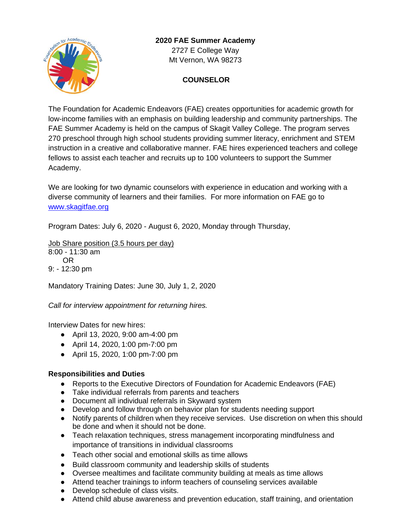

# **2020 FAE Summer Academy** 2727 E College Way Mt Vernon, WA 98273

# **COUNSELOR**

The Foundation for Academic Endeavors (FAE) creates opportunities for academic growth for low-income families with an emphasis on building leadership and community partnerships. The FAE Summer Academy is held on the campus of Skagit Valley College. The program serves 270 preschool through high school students providing summer literacy, enrichment and STEM instruction in a creative and collaborative manner. FAE hires experienced teachers and college fellows to assist each teacher and recruits up to 100 volunteers to support the Summer Academy.

We are looking for two dynamic counselors with experience in education and working with a diverse community of learners and their families. For more information on FAE go to [www.skagitfae.org](http://www.skagitfae.org/)

Program Dates: July 6, 2020 - August 6, 2020, Monday through Thursday,

Job Share position (3.5 hours per day) 8:00 - 11:30 am OR 9: - 12:30 pm

Mandatory Training Dates: June 30, July 1, 2, 2020

*Call for interview appointment for returning hires.*

Interview Dates for new hires:

- April 13, 2020, 9:00 am-4:00 pm
- April 14, 2020, 1:00 pm-7:00 pm
- April 15, 2020, 1:00 pm-7:00 pm

# **Responsibilities and Duties**

- Reports to the Executive Directors of Foundation for Academic Endeavors (FAE)
- Take individual referrals from parents and teachers
- Document all individual referrals in Skyward system
- Develop and follow through on behavior plan for students needing support
- Notify parents of children when they receive services. Use discretion on when this should be done and when it should not be done.
- Teach relaxation techniques, stress management incorporating mindfulness and importance of transitions in individual classrooms
- Teach other social and emotional skills as time allows
- Build classroom community and leadership skills of students
- Oversee mealtimes and facilitate community building at meals as time allows
- Attend teacher trainings to inform teachers of counseling services available
- Develop schedule of class visits.
- Attend child abuse awareness and prevention education, staff training, and orientation